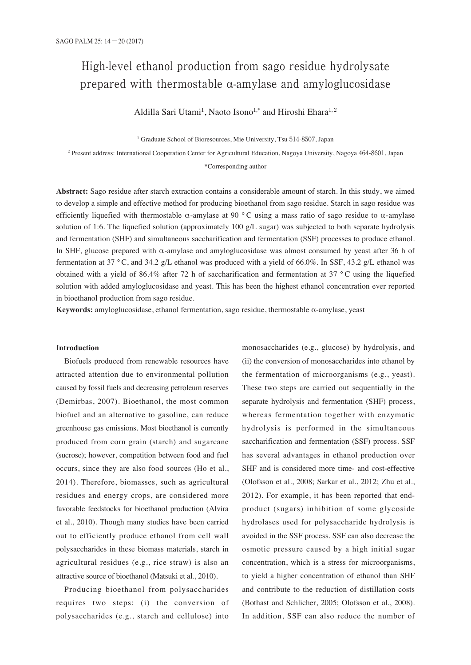# High-level ethanol production from sago residue hydrolysate prepared with thermostable α-amylase and amyloglucosidase

Aldilla Sari Utami<sup>1</sup>, Naoto Isono<sup>1,\*</sup> and Hiroshi Ehara<sup>1,2</sup>

<sup>1</sup> Graduate School of Bioresources, Mie University, Tsu 514-8507, Japan

<sup>2</sup> Present address: International Cooperation Center for Agricultural Education, Nagoya University, Nagoya 464-8601, Japan

\*Corresponding author

**Abstract:** Sago residue after starch extraction contains a considerable amount of starch. In this study, we aimed to develop a simple and effective method for producing bioethanol from sago residue. Starch in sago residue was efficiently liquefied with thermostable α-amylase at 90 °C using a mass ratio of sago residue to α-amylase solution of 1:6. The liquefied solution (approximately 100 g/L sugar) was subjected to both separate hydrolysis and fermentation (SHF) and simultaneous saccharification and fermentation (SSF) processes to produce ethanol. In SHF, glucose prepared with α-amylase and amyloglucosidase was almost consumed by yeast after 36 h of fermentation at 37 °C, and 34.2 g/L ethanol was produced with a yield of 66.0%. In SSF, 43.2 g/L ethanol was obtained with a yield of 86.4% after 72 h of saccharification and fermentation at 37  $\degree$ C using the liquefied solution with added amyloglucosidase and yeast. This has been the highest ethanol concentration ever reported in bioethanol production from sago residue.

**Keywords:** amyloglucosidase, ethanol fermentation, sago residue, thermostable α-amylase, yeast

#### **Introduction**

Biofuels produced from renewable resources have attracted attention due to environmental pollution caused by fossil fuels and decreasing petroleum reserves (Demirbas, 2007). Bioethanol, the most common biofuel and an alternative to gasoline, can reduce greenhouse gas emissions. Most bioethanol is currently produced from corn grain (starch) and sugarcane (sucrose); however, competition between food and fuel occurs, since they are also food sources (Ho et al., 2014). Therefore, biomasses, such as agricultural residues and energy crops, are considered more favorable feedstocks for bioethanol production (Alvira et al., 2010). Though many studies have been carried out to efficiently produce ethanol from cell wall polysaccharides in these biomass materials, starch in agricultural residues (e.g., rice straw) is also an attractive source of bioethanol (Matsuki et al., 2010).

Producing bioethanol from polysaccharides requires two steps: (i) the conversion of polysaccharides (e.g., starch and cellulose) into

monosaccharides (e.g., glucose) by hydrolysis, and (ii) the conversion of monosaccharides into ethanol by the fermentation of microorganisms (e.g., yeast). These two steps are carried out sequentially in the separate hydrolysis and fermentation (SHF) process, whereas fermentation together with enzymatic hydrolysis is performed in the simultaneous saccharification and fermentation (SSF) process. SSF has several advantages in ethanol production over SHF and is considered more time- and cost-effective (Olofsson et al., 2008; Sarkar et al., 2012; Zhu et al., 2012). For example, it has been reported that endproduct (sugars) inhibition of some glycoside hydrolases used for polysaccharide hydrolysis is avoided in the SSF process. SSF can also decrease the osmotic pressure caused by a high initial sugar concentration, which is a stress for microorganisms, to yield a higher concentration of ethanol than SHF and contribute to the reduction of distillation costs (Bothast and Schlicher, 2005; Olofsson et al., 2008). In addition, SSF can also reduce the number of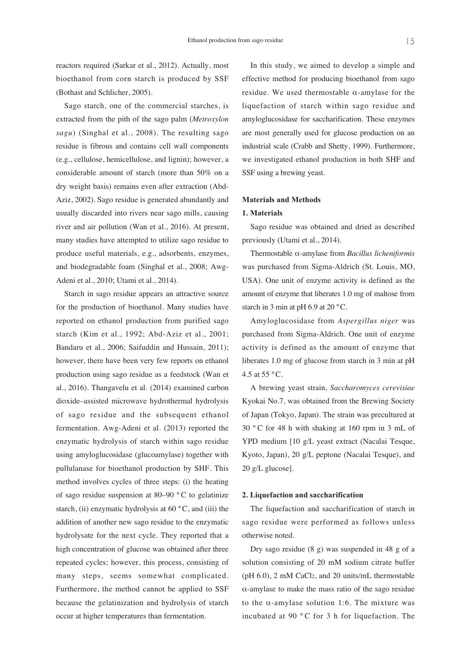reactors required (Sarkar et al., 2012). Actually, most bioethanol from corn starch is produced by SSF (Bothast and Schlicher, 2005).

Sago starch, one of the commercial starches, is extracted from the pith of the sago palm (*Metroxylon sagu*) (Singhal et al., 2008). The resulting sago residue is fibrous and contains cell wall components (e.g., cellulose, hemicellulose, and lignin); however, a considerable amount of starch (more than 50% on a dry weight basis) remains even after extraction (Abd-Aziz, 2002). Sago residue is generated abundantly and usually discarded into rivers near sago mills, causing river and air pollution (Wan et al., 2016). At present, many studies have attempted to utilize sago residue to produce useful materials, e.g., adsorbents, enzymes, and biodegradable foam (Singhal et al., 2008; Awg-Adeni et al., 2010; Utami et al., 2014).

Starch in sago residue appears an attractive source for the production of bioethanol. Many studies have reported on ethanol production from purified sago starch (Kim et al., 1992; Abd-Aziz et al., 2001; Bandaru et al., 2006; Saifuddin and Hussain, 2011); however, there have been very few reports on ethanol production using sago residue as a feedstock (Wan et al., 2016). Thangavelu et al. (2014) examined carbon dioxide–assisted microwave hydrothermal hydrolysis of sago residue and the subsequent ethanol fermentation. Awg-Adeni et al. (2013) reported the enzymatic hydrolysis of starch within sago residue using amyloglucosidase (glucoamylase) together with pullulanase for bioethanol production by SHF. This method involves cycles of three steps: (i) the heating of sago residue suspension at 80–90 °C to gelatinize starch, (ii) enzymatic hydrolysis at  $60^{\circ}$ C, and (iii) the addition of another new sago residue to the enzymatic hydrolysate for the next cycle. They reported that a high concentration of glucose was obtained after three repeated cycles; however, this process, consisting of many steps, seems somewhat complicated. Furthermore, the method cannot be applied to SSF because the gelatinization and hydrolysis of starch occur at higher temperatures than fermentation.

In this study, we aimed to develop a simple and effective method for producing bioethanol from sago residue. We used thermostable α-amylase for the liquefaction of starch within sago residue and amyloglucosidase for saccharification. These enzymes are most generally used for glucose production on an industrial scale (Crabb and Shetty, 1999). Furthermore, we investigated ethanol production in both SHF and SSF using a brewing yeast.

#### **Materials and Methods**

# **1. Materials**

Sago residue was obtained and dried as described previously (Utami et al., 2014).

Thermostable α-amylase from *Bacillus licheniformis* was purchased from Sigma-Aldrich (St. Louis, MO, USA). One unit of enzyme activity is defined as the amount of enzyme that liberates 1.0 mg of maltose from starch in 3 min at pH 6.9 at 20 °C.

Amyloglucosidase from *Aspergillus niger* was purchased from Sigma-Aldrich. One unit of enzyme activity is defined as the amount of enzyme that liberates 1.0 mg of glucose from starch in 3 min at pH 4.5 at 55 °C.

A brewing yeast strain, *Saccharomyces cerevisiae* Kyokai No.7, was obtained from the Brewing Society of Japan (Tokyo, Japan). The strain was precultured at 30 ° C for 48 h with shaking at 160 rpm in 3 mL of YPD medium [10 g/L yeast extract (Nacalai Tesque, Kyoto, Japan), 20 g/L peptone (Nacalai Tesque), and 20 g/L glucose].

#### **2. Liquefaction and saccharification**

The liquefaction and saccharification of starch in sago residue were performed as follows unless otherwise noted.

Dry sago residue (8 g) was suspended in 48 g of a solution consisting of 20 mM sodium citrate buffer (pH 6.0), 2 mM CaCl2, and 20 units/mL thermostable α-amylase to make the mass ratio of the sago residue to the  $\alpha$ -amylase solution 1:6. The mixture was incubated at 90 ° C for 3 h for liquefaction. The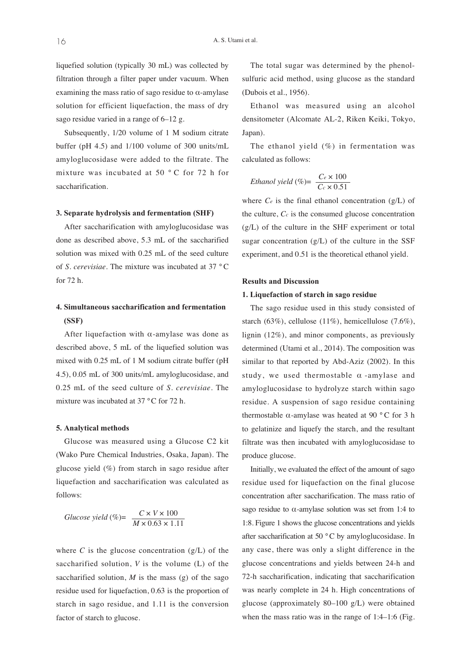liquefied solution (typically 30 mL) was collected by filtration through a filter paper under vacuum. When examining the mass ratio of sago residue to  $\alpha$ -amylase solution for efficient liquefaction, the mass of dry sago residue varied in a range of 6–12 g.

Subsequently, 1/20 volume of 1 M sodium citrate buffer (pH 4.5) and 1/100 volume of 300 units/mL amyloglucosidase were added to the filtrate. The mixture was incubated at 50 ° C for 72 h for saccharification.

# **3. Separate hydrolysis and fermentation (SHF)**

After saccharification with amyloglucosidase was done as described above, 5.3 mL of the saccharified solution was mixed with 0.25 mL of the seed culture of *S. cerevisiae*. The mixture was incubated at 37 °C for 72 h.

# **4. Simultaneous saccharification and fermentation (SSF)**

After liquefaction with  $\alpha$ -amylase was done as described above, 5 mL of the liquefied solution was mixed with 0.25 mL of 1 M sodium citrate buffer (pH 4.5), 0.05 mL of 300 units/mL amyloglucosidase, and 0.25 mL of the seed culture of *S. cerevisiae*. The mixture was incubated at 37 °C for 72 h.

# **5. Analytical methods**

Glucose was measured using a Glucose C2 kit (Wako Pure Chemical Industries, Osaka, Japan). The glucose yield (%) from starch in sago residue after liquefaction and saccharification was calculated as follows:

$$
Glucose yield (\%) = \frac{C \times V \times 100}{M \times 0.63 \times 1.11}
$$

where  $C$  is the glucose concentration  $(g/L)$  of the saccharified solution, *V* is the volume (L) of the saccharified solution,  $M$  is the mass (g) of the sago residue used for liquefaction, 0.63 is the proportion of starch in sago residue, and 1.11 is the conversion factor of starch to glucose.

The total sugar was determined by the phenolsulfuric acid method, using glucose as the standard (Dubois et al., 1956).

Ethanol was measured using an alcohol densitometer (Alcomate AL-2, Riken Keiki, Tokyo, Japan).

The ethanol yield (%) in fermentation was calculated as follows:

$$
Ethanol yield (\%) = \frac{C_e \times 100}{C_c \times 0.51}
$$

where  $Ce$  is the final ethanol concentration  $(g/L)$  of the culture, *Cc* is the consumed glucose concentration (g/L) of the culture in the SHF experiment or total sugar concentration (g/L) of the culture in the SSF experiment, and 0.51 is the theoretical ethanol yield.

#### **Results and Discussion**

#### **1. Liquefaction of starch in sago residue**

The sago residue used in this study consisted of starch (63%), cellulose (11%), hemicellulose (7.6%), lignin (12%), and minor components, as previously determined (Utami et al., 2014). The composition was similar to that reported by Abd-Aziz (2002). In this study, we used thermostable  $\alpha$ -amylase and amyloglucosidase to hydrolyze starch within sago residue. A suspension of sago residue containing thermostable α-amylase was heated at 90 $\degree$ C for 3 h to gelatinize and liquefy the starch, and the resultant filtrate was then incubated with amyloglucosidase to produce glucose.

Initially, we evaluated the effect of the amount of sago residue used for liquefaction on the final glucose concentration after saccharification. The mass ratio of sago residue to  $\alpha$ -amylase solution was set from 1:4 to 1:8. Figure 1 shows the glucose concentrations and yields after saccharification at 50 °C by amyloglucosidase. In any case, there was only a slight difference in the glucose concentrations and yields between 24-h and 72-h saccharification, indicating that saccharification was nearly complete in 24 h. High concentrations of glucose (approximately 80–100 g/L) were obtained when the mass ratio was in the range of 1:4–1:6 (Fig.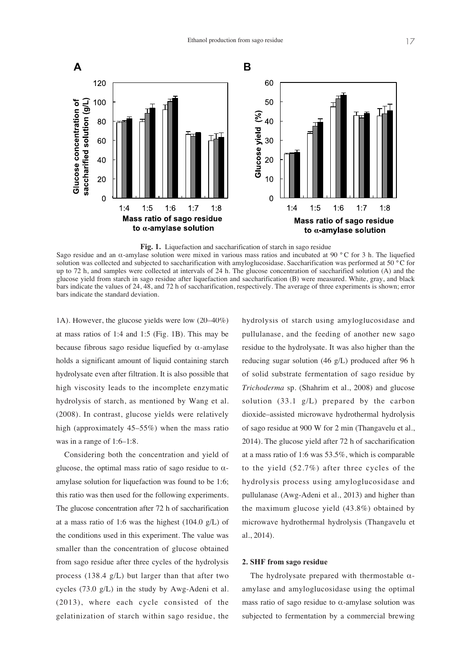

**Fig. 1.** Liquefaction and saccharification of starch in sago residue

Sago residue and an α-amylase solution were mixed in various mass ratios and incubated at 90 °C for 3 h. The liquefied solution was collected and subjected to saccharification with amyloglucosidase. Saccharification was performed at 50 °C for up to 72 h, and samples were collected at intervals of 24 h. The glucose concentration of saccharified solution (A) and the glucose yield from starch in sago residue after liquefaction and saccharification (B) were measured. White, gray, and black bars indicate the values of 24, 48, and 72 h of saccharification, respectively. The average of three experiments is shown; error bars indicate the standard deviation.

1A). However, the glucose yields were low (20–40%) at mass ratios of 1:4 and 1:5 (Fig. 1B). This may be because fibrous sago residue liquefied by  $\alpha$ -amylase holds a significant amount of liquid containing starch hydrolysate even after filtration. It is also possible that high viscosity leads to the incomplete enzymatic hydrolysis of starch, as mentioned by Wang et al. (2008). In contrast, glucose yields were relatively high (approximately 45–55%) when the mass ratio was in a range of 1:6–1:8.

Considering both the concentration and yield of glucose, the optimal mass ratio of sago residue to  $\alpha$ amylase solution for liquefaction was found to be 1:6; this ratio was then used for the following experiments. The glucose concentration after 72 h of saccharification at a mass ratio of 1:6 was the highest  $(104.0 \text{ g/L})$  of the conditions used in this experiment. The value was smaller than the concentration of glucose obtained from sago residue after three cycles of the hydrolysis process (138.4 g/L) but larger than that after two cycles (73.0 g/L) in the study by Awg-Adeni et al. (2013), where each cycle consisted of the gelatinization of starch within sago residue, the

hydrolysis of starch using amyloglucosidase and pullulanase, and the feeding of another new sago residue to the hydrolysate. It was also higher than the reducing sugar solution (46 g/L) produced after 96 h of solid substrate fermentation of sago residue by *Trichoderma* sp. (Shahrim et al., 2008) and glucose solution (33.1 g/L) prepared by the carbon dioxide–assisted microwave hydrothermal hydrolysis of sago residue at 900 W for 2 min (Thangavelu et al., 2014). The glucose yield after 72 h of saccharification at a mass ratio of 1:6 was 53.5%, which is comparable to the yield (52.7%) after three cycles of the hydrolysis process using amyloglucosidase and pullulanase (Awg-Adeni et al., 2013) and higher than the maximum glucose yield (43.8%) obtained by microwave hydrothermal hydrolysis (Thangavelu et al., 2014).

# **2. SHF from sago residue**

The hydrolysate prepared with thermostable  $\alpha$ amylase and amyloglucosidase using the optimal mass ratio of sago residue to  $\alpha$ -amylase solution was subjected to fermentation by a commercial brewing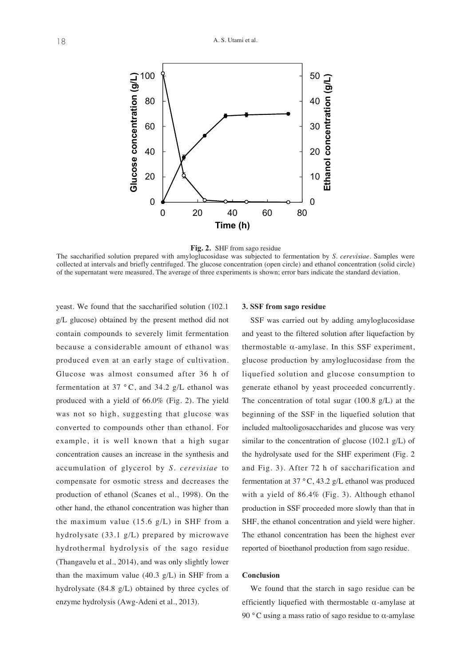



**Fig. 2.** SHF from sago residue The saccharified solution prepared with amyloglucosidase was subjected to fermentation by *S. cerevisiae*. Samples were T of the supernatant were measured. The average of three experiments is shown; error bars indicate the standard deviation.collected at intervals and briefly centrifuged. The glucose concentration (open circle) and ethanol concentration (solid circle)

yeast. We found that the saccharified solution (102.1 g/L glucose) obtained by the present method did not contain compounds to severely limit fermentation because a considerable amount of ethanol was produced even at an early stage of cultivation.  Glucose was almost consumed after 36 h of fermentation at 37  $\degree$ C, and 34.2 g/L ethanol was produced with a yield of 66.0% (Fig. 2). The yield was not so high, suggesting that glucose was converted to compounds other than ethanol. For example, it is well known that a high sugar concentration causes an increase in the synthesis and accumulation of glycerol by *S. cerevisiae* to compensate for osmotic stress and decreases the production of ethanol (Scanes et al., 1998). On the other hand, the ethanol concentration was higher than the maximum value  $(15.6 \text{ g/L})$  in SHF from a hydrolysate (33.1 g/L) prepared by microwave hydrothermal hydrolysis of the sago residue (Thangavelu et al., 2014), and was only slightly lower than the maximum value  $(40.3 \text{ g/L})$  in SHF from a hydrolysate (84.8 g/L) obtained by three cycles of enzyme hydrolysis (Awg-Adeni et al., 2013).

# **3. SSF from sago residue**

SSF was carried out by adding amyloglucosidase and yeast to the filtered solution after liquefaction by thermostable  $\alpha$ -amylase. In this SSF experiment, glucose production by amyloglucosidase from the liquefied solution and glucose consumption to generate ethanol by yeast proceeded concurrently. The concentration of total sugar (100.8 g/L) at the beginning of the SSF in the liquefied solution that included maltooligosaccharides and glucose was very similar to the concentration of glucose (102.1 g/L) of the hydrolysate used for the SHF experiment (Fig. 2 and Fig. 3). After 72 h of saccharification and fermentation at 37 °C, 43.2 g/L ethanol was produced with a yield of 86.4% (Fig. 3). Although ethanol production in SSF proceeded more slowly than that in SHF, the ethanol concentration and yield were higher. The ethanol concentration has been the highest ever reported of bioethanol production from sago residue.

#### **Conclusion**

We found that the starch in sago residue can be efficiently liquefied with thermostable  $\alpha$ -amylase at 90 °C using a mass ratio of sago residue to  $\alpha$ -amylase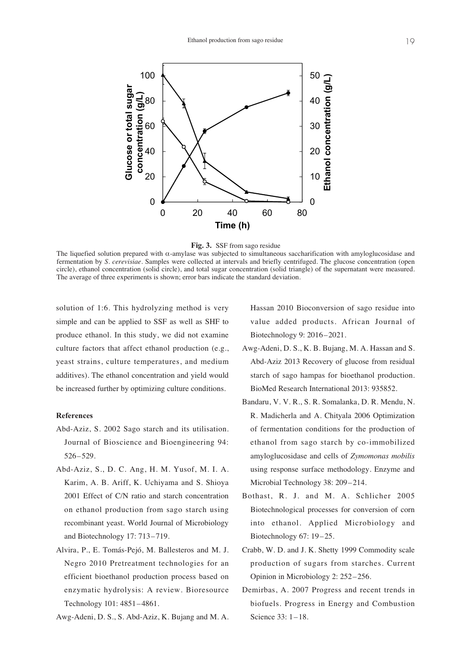



The liquefied solution prepared with  $\alpha$ -amylase was subjected to simultaneous saccharification with amyloglucosidase and fermentation by *S. cerevisiae*. Samples were collected at intervals and briefly centrifuged. The glucose concentration (open circle), ethanol concentration (solid circle), and total sugar concentration (solid triangle) of the supernatant were measured. The average of three experiments is shown; error bars indicate the standard deviation.

solution of 1:6. This hydrolyzing method is very simple and can be applied to SSF as well as SHF to produce ethanol. In this study, we did not examine culture factors that affect ethanol production (e.g., yeast strains, culture temperatures, and medium additives). The ethanol concentration and yield would be increased further by optimizing culture conditions.

# **References**

- Abd-Aziz, S. 2002 Sago starch and its utilisation. Journal of Bioscience and Bioengineering 94: 526–529.
- Abd-Aziz, S., D. C. Ang, H. M. Yusof, M. I. A. Karim, A. B. Ariff, K. Uchiyama and S. Shioya 2001 Effect of C/N ratio and starch concentration on ethanol production from sago starch using recombinant yeast. World Journal of Microbiology and Biotechnology 17: 713–719.
- Alvira, P., E. Tomás-Pejó, M. Ballesteros and M. J. Negro 2010 Pretreatment technologies for an efficient bioethanol production process based on enzymatic hydrolysis: A review. Bioresource Technology 101: 4851–4861.

Awg-Adeni, D. S., S. Abd-Aziz, K. Bujang and M. A.

Hassan 2010 Bioconversion of sago residue into value added products. African Journal of Biotechnology 9: 2016–2021.

- Awg-Adeni, D. S., K. B. Bujang, M. A. Hassan and S. Abd-Aziz 2013 Recovery of glucose from residual starch of sago hampas for bioethanol production. BioMed Research International 2013: 935852.
- Bandaru, V. V. R., S. R. Somalanka, D. R. Mendu, N. R. Madicherla and A. Chityala 2006 Optimization of fermentation conditions for the production of ethanol from sago starch by co-immobilized amyloglucosidase and cells of *Zymomonas mobilis* using response surface methodology. Enzyme and Microbial Technology 38: 209–214.
- Bothast, R. J. and M. A. Schlicher 2005 Biotechnological processes for conversion of corn into ethanol. Applied Microbiology and Biotechnology 67: 19–25.
- Crabb, W. D. and J. K. Shetty 1999 Commodity scale production of sugars from starches. Current Opinion in Microbiology 2: 252–256.
- Demirbas, A. 2007 Progress and recent trends in biofuels. Progress in Energy and Combustion Science 33: 1–18.